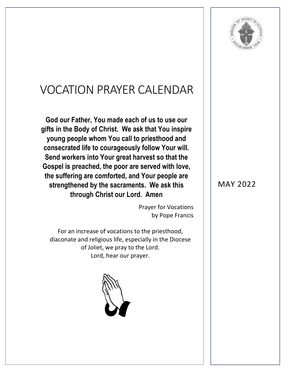

## VOCATION PRAYER CALENDAR

**God our Father, You made each of us to use our gifts in the Body of Christ. We ask that You inspire young people whom You call to priesthood and consecrated life to courageously follow Your will. Send workers into Your great harvest so that the Gospel is preached, the poor are served with love, the suffering are comforted, and Your people are strengthened by the sacraments. We ask this through Christ our Lord. Amen**

> Prayer for Vocations by Pope Francis

For an increase of vocations to the priesthood, diaconate and religious life, especially in the Diocese of Joliet, we pray to the Lord. Lord, hear our prayer.



## MAY 2022